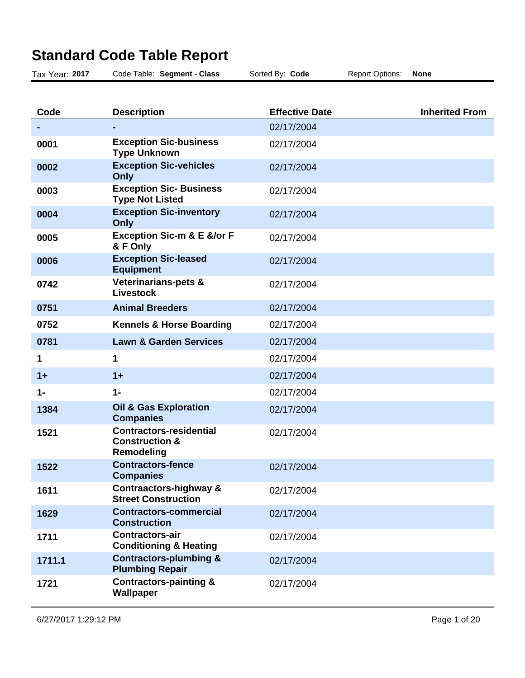## **Standard Code Table Report**

| Tax Year: 2017 | Code Table: Segment - Class                                                      | Sorted By: Code       | <b>Report Options:</b> | <b>None</b>           |
|----------------|----------------------------------------------------------------------------------|-----------------------|------------------------|-----------------------|
|                |                                                                                  |                       |                        |                       |
| Code           | <b>Description</b>                                                               | <b>Effective Date</b> |                        | <b>Inherited From</b> |
|                |                                                                                  | 02/17/2004            |                        |                       |
| 0001           | <b>Exception Sic-business</b><br><b>Type Unknown</b>                             | 02/17/2004            |                        |                       |
| 0002           | <b>Exception Sic-vehicles</b><br>Only                                            | 02/17/2004            |                        |                       |
| 0003           | <b>Exception Sic- Business</b><br><b>Type Not Listed</b>                         | 02/17/2004            |                        |                       |
| 0004           | <b>Exception Sic-inventory</b><br>Only                                           | 02/17/2004            |                        |                       |
| 0005           | <b>Exception Sic-m &amp; E &amp;/or F</b><br>& F Only                            | 02/17/2004            |                        |                       |
| 0006           | <b>Exception Sic-leased</b><br><b>Equipment</b>                                  | 02/17/2004            |                        |                       |
| 0742           | Veterinarians-pets &<br><b>Livestock</b>                                         | 02/17/2004            |                        |                       |
| 0751           | <b>Animal Breeders</b>                                                           | 02/17/2004            |                        |                       |
| 0752           | <b>Kennels &amp; Horse Boarding</b>                                              | 02/17/2004            |                        |                       |
| 0781           | <b>Lawn &amp; Garden Services</b>                                                | 02/17/2004            |                        |                       |
| 1              | 1                                                                                | 02/17/2004            |                        |                       |
| $1+$           | $1+$                                                                             | 02/17/2004            |                        |                       |
| $1 -$          | $1 -$                                                                            | 02/17/2004            |                        |                       |
| 1384           | <b>Oil &amp; Gas Exploration</b><br><b>Companies</b>                             | 02/17/2004            |                        |                       |
| 1521           | <b>Contractors-residential</b><br><b>Construction &amp;</b><br><b>Remodeling</b> | 02/17/2004            |                        |                       |
| 1522           | <b>Contractors-fence</b><br><b>Companies</b>                                     | 02/17/2004            |                        |                       |
| 1611           | Contraactors-highway &<br><b>Street Construction</b>                             | 02/17/2004            |                        |                       |
| 1629           | <b>Contractors-commercial</b><br><b>Construction</b>                             | 02/17/2004            |                        |                       |
| 1711           | <b>Contractors-air</b><br><b>Conditioning &amp; Heating</b>                      | 02/17/2004            |                        |                       |
| 1711.1         | <b>Contractors-plumbing &amp;</b><br><b>Plumbing Repair</b>                      | 02/17/2004            |                        |                       |

02/17/2004

**1721 Contractors-painting & Wallpaper**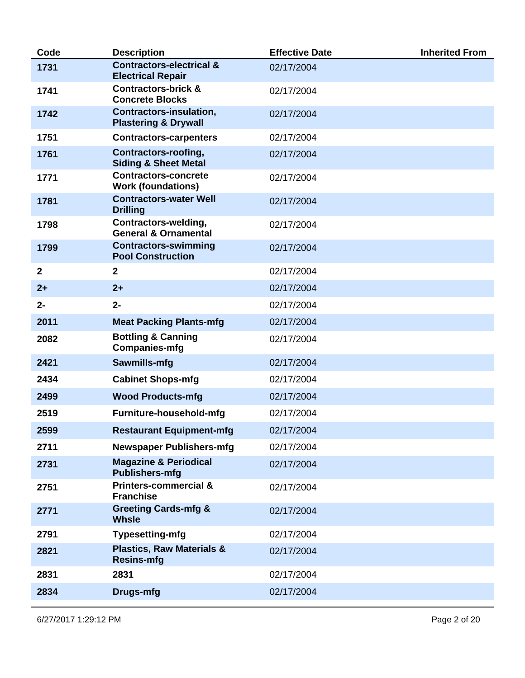| Code         | <b>Description</b>                                              | <b>Effective Date</b> | <b>Inherited From</b> |
|--------------|-----------------------------------------------------------------|-----------------------|-----------------------|
| 1731         | <b>Contractors-electrical &amp;</b><br><b>Electrical Repair</b> | 02/17/2004            |                       |
| 1741         | <b>Contractors-brick &amp;</b><br><b>Concrete Blocks</b>        | 02/17/2004            |                       |
| 1742         | Contractors-insulation,<br><b>Plastering &amp; Drywall</b>      | 02/17/2004            |                       |
| 1751         | <b>Contractors-carpenters</b>                                   | 02/17/2004            |                       |
| 1761         | <b>Contractors-roofing,</b><br><b>Siding &amp; Sheet Metal</b>  | 02/17/2004            |                       |
| 1771         | <b>Contractors-concrete</b><br><b>Work (foundations)</b>        | 02/17/2004            |                       |
| 1781         | <b>Contractors-water Well</b><br><b>Drilling</b>                | 02/17/2004            |                       |
| 1798         | Contractors-welding,<br><b>General &amp; Ornamental</b>         | 02/17/2004            |                       |
| 1799         | <b>Contractors-swimming</b><br><b>Pool Construction</b>         | 02/17/2004            |                       |
| $\mathbf{2}$ | $\overline{2}$                                                  | 02/17/2004            |                       |
| $2+$         | $2+$                                                            | 02/17/2004            |                       |
| $2 -$        | $2 -$                                                           | 02/17/2004            |                       |
| 2011         | <b>Meat Packing Plants-mfg</b>                                  | 02/17/2004            |                       |
| 2082         | <b>Bottling &amp; Canning</b><br><b>Companies-mfg</b>           | 02/17/2004            |                       |
| 2421         | Sawmills-mfg                                                    | 02/17/2004            |                       |
| 2434         | <b>Cabinet Shops-mfg</b>                                        | 02/17/2004            |                       |
| 2499         | <b>Wood Products-mfg</b>                                        | 02/17/2004            |                       |
| 2519         | Furniture-household-mfg                                         | 02/17/2004            |                       |
| 2599         | <b>Restaurant Equipment-mfg</b>                                 | 02/17/2004            |                       |
| 2711         | <b>Newspaper Publishers-mfg</b>                                 | 02/17/2004            |                       |
| 2731         | <b>Magazine &amp; Periodical</b><br><b>Publishers-mfg</b>       | 02/17/2004            |                       |
| 2751         | <b>Printers-commercial &amp;</b><br><b>Franchise</b>            | 02/17/2004            |                       |
| 2771         | <b>Greeting Cards-mfg &amp;</b><br><b>Whsle</b>                 | 02/17/2004            |                       |
| 2791         | <b>Typesetting-mfg</b>                                          | 02/17/2004            |                       |
| 2821         | <b>Plastics, Raw Materials &amp;</b><br><b>Resins-mfg</b>       | 02/17/2004            |                       |
| 2831         | 2831                                                            | 02/17/2004            |                       |
| 2834         | Drugs-mfg                                                       | 02/17/2004            |                       |
|              |                                                                 |                       |                       |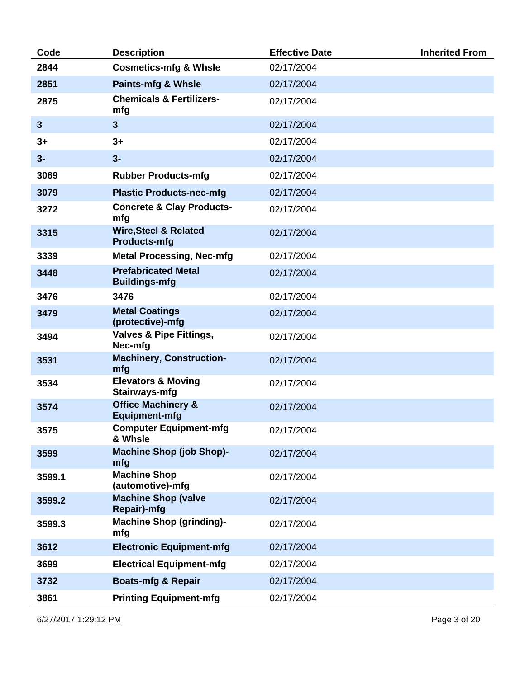| Code         | <b>Description</b>                                      | <b>Effective Date</b> | <b>Inherited From</b> |
|--------------|---------------------------------------------------------|-----------------------|-----------------------|
| 2844         | <b>Cosmetics-mfg &amp; Whsle</b>                        | 02/17/2004            |                       |
| 2851         | <b>Paints-mfg &amp; Whsle</b>                           | 02/17/2004            |                       |
| 2875         | <b>Chemicals &amp; Fertilizers-</b><br>mfg              | 02/17/2004            |                       |
| $\mathbf{3}$ | $\overline{\mathbf{3}}$                                 | 02/17/2004            |                       |
| $3+$         | $3+$                                                    | 02/17/2004            |                       |
| $3-$         | $3-$                                                    | 02/17/2004            |                       |
| 3069         | <b>Rubber Products-mfg</b>                              | 02/17/2004            |                       |
| 3079         | <b>Plastic Products-nec-mfg</b>                         | 02/17/2004            |                       |
| 3272         | <b>Concrete &amp; Clay Products-</b><br>mfg             | 02/17/2004            |                       |
| 3315         | <b>Wire, Steel &amp; Related</b><br><b>Products-mfg</b> | 02/17/2004            |                       |
| 3339         | <b>Metal Processing, Nec-mfg</b>                        | 02/17/2004            |                       |
| 3448         | <b>Prefabricated Metal</b><br><b>Buildings-mfg</b>      | 02/17/2004            |                       |
| 3476         | 3476                                                    | 02/17/2004            |                       |
| 3479         | <b>Metal Coatings</b><br>(protective)-mfg               | 02/17/2004            |                       |
| 3494         | <b>Valves &amp; Pipe Fittings,</b><br>Nec-mfg           | 02/17/2004            |                       |
| 3531         | <b>Machinery, Construction-</b><br>mfg                  | 02/17/2004            |                       |
| 3534         | <b>Elevators &amp; Moving</b><br>Stairways-mfg          | 02/17/2004            |                       |
| 3574         | <b>Office Machinery &amp;</b><br><b>Equipment-mfg</b>   | 02/17/2004            |                       |
| 3575         | <b>Computer Equipment-mfg</b><br>& Whsle                | 02/17/2004            |                       |
| 3599         | <b>Machine Shop (job Shop)-</b><br>mfg                  | 02/17/2004            |                       |
| 3599.1       | <b>Machine Shop</b><br>(automotive)-mfg                 | 02/17/2004            |                       |
| 3599.2       | <b>Machine Shop (valve</b><br>Repair)-mfg               | 02/17/2004            |                       |
| 3599.3       | <b>Machine Shop (grinding)-</b><br>mfg                  | 02/17/2004            |                       |
| 3612         | <b>Electronic Equipment-mfg</b>                         | 02/17/2004            |                       |
| 3699         | <b>Electrical Equipment-mfg</b>                         | 02/17/2004            |                       |
| 3732         | <b>Boats-mfg &amp; Repair</b>                           | 02/17/2004            |                       |
| 3861         | <b>Printing Equipment-mfg</b>                           | 02/17/2004            |                       |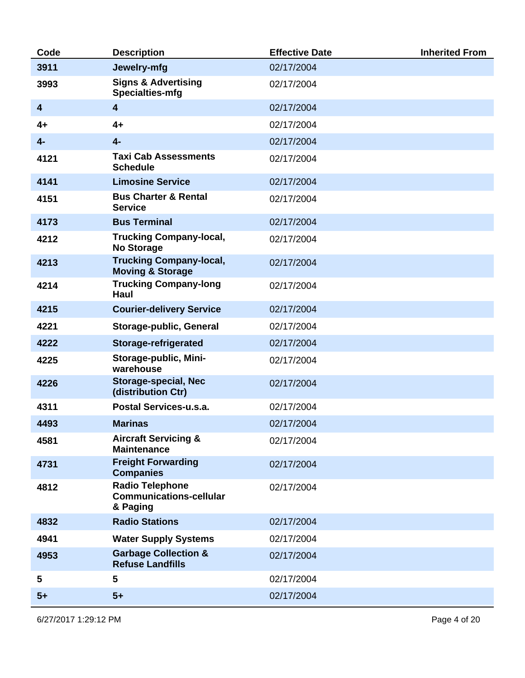| Code                    | <b>Description</b>                                                   | <b>Effective Date</b> | <b>Inherited From</b> |
|-------------------------|----------------------------------------------------------------------|-----------------------|-----------------------|
| 3911                    | Jewelry-mfg                                                          | 02/17/2004            |                       |
| 3993                    | <b>Signs &amp; Advertising</b><br>Specialties-mfg                    | 02/17/2004            |                       |
| $\overline{\mathbf{4}}$ | $\overline{\mathbf{4}}$                                              | 02/17/2004            |                       |
| 4+                      | $4+$                                                                 | 02/17/2004            |                       |
| $4-$                    | $4-$                                                                 | 02/17/2004            |                       |
| 4121                    | <b>Taxi Cab Assessments</b><br><b>Schedule</b>                       | 02/17/2004            |                       |
| 4141                    | <b>Limosine Service</b>                                              | 02/17/2004            |                       |
| 4151                    | <b>Bus Charter &amp; Rental</b><br><b>Service</b>                    | 02/17/2004            |                       |
| 4173                    | <b>Bus Terminal</b>                                                  | 02/17/2004            |                       |
| 4212                    | <b>Trucking Company-local,</b><br><b>No Storage</b>                  | 02/17/2004            |                       |
| 4213                    | <b>Trucking Company-local,</b><br><b>Moving &amp; Storage</b>        | 02/17/2004            |                       |
| 4214                    | <b>Trucking Company-long</b><br><b>Haul</b>                          | 02/17/2004            |                       |
| 4215                    | <b>Courier-delivery Service</b>                                      | 02/17/2004            |                       |
| 4221                    | Storage-public, General                                              | 02/17/2004            |                       |
| 4222                    | Storage-refrigerated                                                 | 02/17/2004            |                       |
| 4225                    | Storage-public, Mini-<br>warehouse                                   | 02/17/2004            |                       |
| 4226                    | <b>Storage-special, Nec</b><br>(distribution Ctr)                    | 02/17/2004            |                       |
| 4311                    | Postal Services-u.s.a.                                               | 02/17/2004            |                       |
| 4493                    | <b>Marinas</b>                                                       | 02/17/2004            |                       |
| 4581                    | <b>Aircraft Servicing &amp;</b><br><b>Maintenance</b>                | 02/17/2004            |                       |
| 4731                    | <b>Freight Forwarding</b><br><b>Companies</b>                        | 02/17/2004            |                       |
| 4812                    | <b>Radio Telephone</b><br><b>Communications-cellular</b><br>& Paging | 02/17/2004            |                       |
| 4832                    | <b>Radio Stations</b>                                                | 02/17/2004            |                       |
| 4941                    | <b>Water Supply Systems</b>                                          | 02/17/2004            |                       |
| 4953                    | <b>Garbage Collection &amp;</b><br><b>Refuse Landfills</b>           | 02/17/2004            |                       |
| 5                       | 5                                                                    | 02/17/2004            |                       |
| $5+$                    | $5+$                                                                 | 02/17/2004            |                       |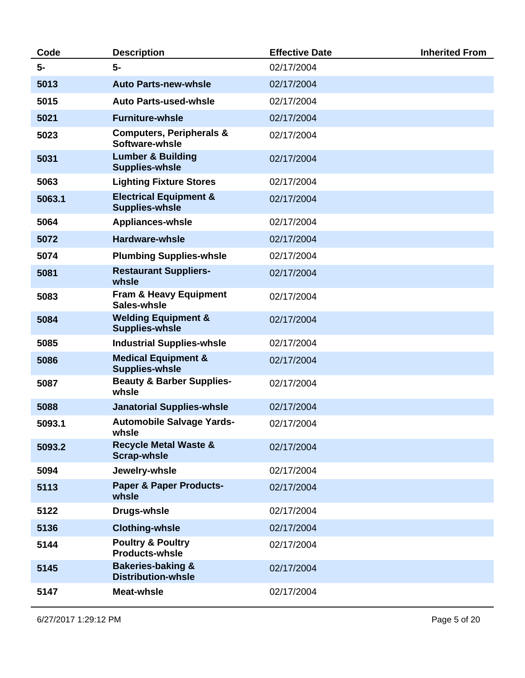| Code   | <b>Description</b>                                         | <b>Effective Date</b> | <b>Inherited From</b> |
|--------|------------------------------------------------------------|-----------------------|-----------------------|
| 5-     | 5-                                                         | 02/17/2004            |                       |
| 5013   | <b>Auto Parts-new-whsle</b>                                | 02/17/2004            |                       |
| 5015   | <b>Auto Parts-used-whsle</b>                               | 02/17/2004            |                       |
| 5021   | <b>Furniture-whsle</b>                                     | 02/17/2004            |                       |
| 5023   | <b>Computers, Peripherals &amp;</b><br>Software-whsle      | 02/17/2004            |                       |
| 5031   | <b>Lumber &amp; Building</b><br><b>Supplies-whsle</b>      | 02/17/2004            |                       |
| 5063   | <b>Lighting Fixture Stores</b>                             | 02/17/2004            |                       |
| 5063.1 | <b>Electrical Equipment &amp;</b><br><b>Supplies-whsle</b> | 02/17/2004            |                       |
| 5064   | <b>Appliances-whsle</b>                                    | 02/17/2004            |                       |
| 5072   | <b>Hardware-whsle</b>                                      | 02/17/2004            |                       |
| 5074   | <b>Plumbing Supplies-whsle</b>                             | 02/17/2004            |                       |
| 5081   | <b>Restaurant Suppliers-</b><br>whsle                      | 02/17/2004            |                       |
| 5083   | <b>Fram &amp; Heavy Equipment</b><br>Sales-whsle           | 02/17/2004            |                       |
| 5084   | <b>Welding Equipment &amp;</b><br><b>Supplies-whsle</b>    | 02/17/2004            |                       |
| 5085   | <b>Industrial Supplies-whsle</b>                           | 02/17/2004            |                       |
| 5086   | <b>Medical Equipment &amp;</b><br><b>Supplies-whsle</b>    | 02/17/2004            |                       |
| 5087   | <b>Beauty &amp; Barber Supplies-</b><br>whsle              | 02/17/2004            |                       |
| 5088   | <b>Janatorial Supplies-whsle</b>                           | 02/17/2004            |                       |
| 5093.1 | <b>Automobile Salvage Yards-</b><br>whsle                  | 02/17/2004            |                       |
| 5093.2 | <b>Recycle Metal Waste &amp;</b><br><b>Scrap-whsle</b>     | 02/17/2004            |                       |
| 5094   | Jewelry-whsle                                              | 02/17/2004            |                       |
| 5113   | <b>Paper &amp; Paper Products-</b><br>whsle                | 02/17/2004            |                       |
| 5122   | Drugs-whsle                                                | 02/17/2004            |                       |
| 5136   | <b>Clothing-whsle</b>                                      | 02/17/2004            |                       |
| 5144   | <b>Poultry &amp; Poultry</b><br><b>Products-whsle</b>      | 02/17/2004            |                       |
| 5145   | <b>Bakeries-baking &amp;</b><br><b>Distribution-whsle</b>  | 02/17/2004            |                       |
| 5147   | <b>Meat-whsle</b>                                          | 02/17/2004            |                       |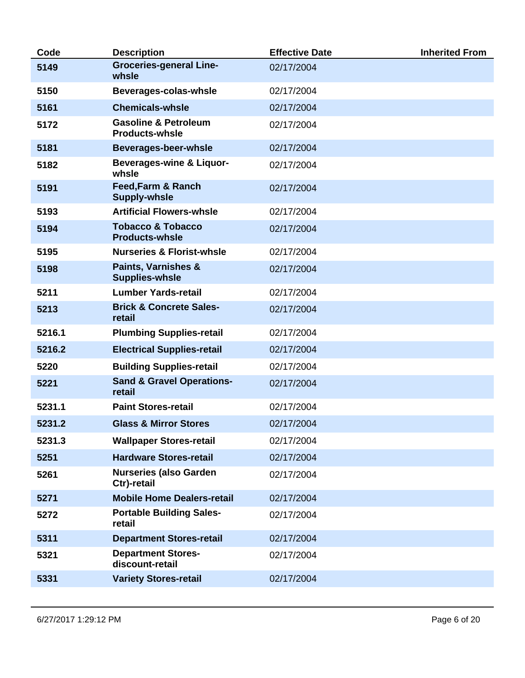| Code   | <b>Description</b>                                       | <b>Effective Date</b> | <b>Inherited From</b> |
|--------|----------------------------------------------------------|-----------------------|-----------------------|
| 5149   | <b>Groceries-general Line-</b><br>whsle                  | 02/17/2004            |                       |
| 5150   | Beverages-colas-whsle                                    | 02/17/2004            |                       |
| 5161   | <b>Chemicals-whsle</b>                                   | 02/17/2004            |                       |
| 5172   | <b>Gasoline &amp; Petroleum</b><br><b>Products-whsle</b> | 02/17/2004            |                       |
| 5181   | <b>Beverages-beer-whsle</b>                              | 02/17/2004            |                       |
| 5182   | <b>Beverages-wine &amp; Liquor-</b><br>whsle             | 02/17/2004            |                       |
| 5191   | <b>Feed, Farm &amp; Ranch</b><br><b>Supply-whsle</b>     | 02/17/2004            |                       |
| 5193   | <b>Artificial Flowers-whsle</b>                          | 02/17/2004            |                       |
| 5194   | <b>Tobacco &amp; Tobacco</b><br><b>Products-whsle</b>    | 02/17/2004            |                       |
| 5195   | <b>Nurseries &amp; Florist-whsle</b>                     | 02/17/2004            |                       |
| 5198   | <b>Paints, Varnishes &amp;</b><br><b>Supplies-whsle</b>  | 02/17/2004            |                       |
| 5211   | <b>Lumber Yards-retail</b>                               | 02/17/2004            |                       |
| 5213   | <b>Brick &amp; Concrete Sales-</b><br>retail             | 02/17/2004            |                       |
| 5216.1 | <b>Plumbing Supplies-retail</b>                          | 02/17/2004            |                       |
| 5216.2 | <b>Electrical Supplies-retail</b>                        | 02/17/2004            |                       |
| 5220   | <b>Building Supplies-retail</b>                          | 02/17/2004            |                       |
| 5221   | <b>Sand &amp; Gravel Operations-</b><br>retail           | 02/17/2004            |                       |
| 5231.1 | <b>Paint Stores-retail</b>                               | 02/17/2004            |                       |
| 5231.2 | <b>Glass &amp; Mirror Stores</b>                         | 02/17/2004            |                       |
| 5231.3 | <b>Wallpaper Stores-retail</b>                           | 02/17/2004            |                       |
| 5251   | <b>Hardware Stores-retail</b>                            | 02/17/2004            |                       |
| 5261   | <b>Nurseries (also Garden</b><br>Ctr)-retail             | 02/17/2004            |                       |
| 5271   | <b>Mobile Home Dealers-retail</b>                        | 02/17/2004            |                       |
| 5272   | <b>Portable Building Sales-</b><br>retail                | 02/17/2004            |                       |
| 5311   | <b>Department Stores-retail</b>                          | 02/17/2004            |                       |
| 5321   | <b>Department Stores-</b><br>discount-retail             | 02/17/2004            |                       |
| 5331   | <b>Variety Stores-retail</b>                             | 02/17/2004            |                       |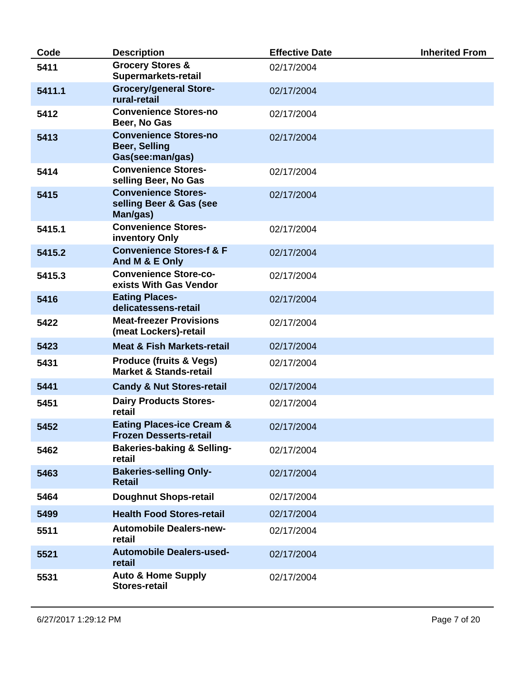| Code   | <b>Description</b>                                                       | <b>Effective Date</b> | <b>Inherited From</b> |
|--------|--------------------------------------------------------------------------|-----------------------|-----------------------|
| 5411   | <b>Grocery Stores &amp;</b><br>Supermarkets-retail                       | 02/17/2004            |                       |
| 5411.1 | <b>Grocery/general Store-</b><br>rural-retail                            | 02/17/2004            |                       |
| 5412   | <b>Convenience Stores-no</b><br>Beer, No Gas                             | 02/17/2004            |                       |
| 5413   | <b>Convenience Stores-no</b><br><b>Beer, Selling</b><br>Gas(see:man/gas) | 02/17/2004            |                       |
| 5414   | <b>Convenience Stores-</b><br>selling Beer, No Gas                       | 02/17/2004            |                       |
| 5415   | <b>Convenience Stores-</b><br>selling Beer & Gas (see<br>Man/gas)        | 02/17/2004            |                       |
| 5415.1 | <b>Convenience Stores-</b><br>inventory Only                             | 02/17/2004            |                       |
| 5415.2 | <b>Convenience Stores-f &amp; F</b><br>And M & E Only                    | 02/17/2004            |                       |
| 5415.3 | <b>Convenience Store-co-</b><br>exists With Gas Vendor                   | 02/17/2004            |                       |
| 5416   | <b>Eating Places-</b><br>delicatessens-retail                            | 02/17/2004            |                       |
| 5422   | <b>Meat-freezer Provisions</b><br>(meat Lockers)-retail                  | 02/17/2004            |                       |
| 5423   | <b>Meat &amp; Fish Markets-retail</b>                                    | 02/17/2004            |                       |
| 5431   | <b>Produce (fruits &amp; Vegs)</b><br><b>Market &amp; Stands-retail</b>  | 02/17/2004            |                       |
| 5441   | <b>Candy &amp; Nut Stores-retail</b>                                     | 02/17/2004            |                       |
| 5451   | <b>Dairy Products Stores-</b><br>retail                                  | 02/17/2004            |                       |
| 5452   | <b>Eating Places-ice Cream &amp;</b><br><b>Frozen Desserts-retail</b>    | 02/17/2004            |                       |
| 5462   | <b>Bakeries-baking &amp; Selling-</b><br>retail                          | 02/17/2004            |                       |
| 5463   | <b>Bakeries-selling Only-</b><br><b>Retail</b>                           | 02/17/2004            |                       |
| 5464   | <b>Doughnut Shops-retail</b>                                             | 02/17/2004            |                       |
| 5499   | <b>Health Food Stores-retail</b>                                         | 02/17/2004            |                       |
| 5511   | <b>Automobile Dealers-new-</b><br>retail                                 | 02/17/2004            |                       |
| 5521   | <b>Automobile Dealers-used-</b><br>retail                                | 02/17/2004            |                       |
| 5531   | <b>Auto &amp; Home Supply</b><br><b>Stores-retail</b>                    | 02/17/2004            |                       |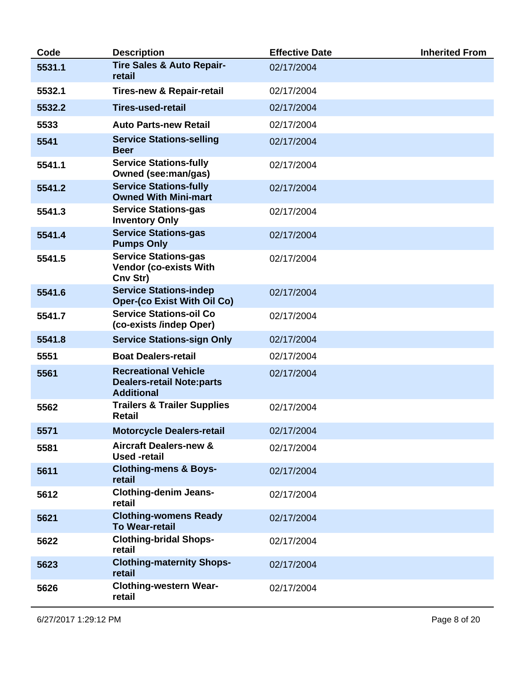| Code   | <b>Description</b>                                                                   | <b>Effective Date</b> | <b>Inherited From</b> |
|--------|--------------------------------------------------------------------------------------|-----------------------|-----------------------|
| 5531.1 | <b>Tire Sales &amp; Auto Repair-</b><br>retail                                       | 02/17/2004            |                       |
| 5532.1 | <b>Tires-new &amp; Repair-retail</b>                                                 | 02/17/2004            |                       |
| 5532.2 | <b>Tires-used-retail</b>                                                             | 02/17/2004            |                       |
| 5533   | <b>Auto Parts-new Retail</b>                                                         | 02/17/2004            |                       |
| 5541   | <b>Service Stations-selling</b><br><b>Beer</b>                                       | 02/17/2004            |                       |
| 5541.1 | <b>Service Stations-fully</b><br>Owned (see:man/gas)                                 | 02/17/2004            |                       |
| 5541.2 | <b>Service Stations-fully</b><br><b>Owned With Mini-mart</b>                         | 02/17/2004            |                       |
| 5541.3 | <b>Service Stations-gas</b><br><b>Inventory Only</b>                                 | 02/17/2004            |                       |
| 5541.4 | <b>Service Stations-gas</b><br><b>Pumps Only</b>                                     | 02/17/2004            |                       |
| 5541.5 | <b>Service Stations-gas</b><br><b>Vendor (co-exists With</b><br>Cnv Str)             | 02/17/2004            |                       |
| 5541.6 | <b>Service Stations-indep</b><br><b>Oper-(co Exist With Oil Co)</b>                  | 02/17/2004            |                       |
| 5541.7 | <b>Service Stations-oil Co</b><br>(co-exists /indep Oper)                            | 02/17/2004            |                       |
| 5541.8 | <b>Service Stations-sign Only</b>                                                    | 02/17/2004            |                       |
| 5551   | <b>Boat Dealers-retail</b>                                                           | 02/17/2004            |                       |
| 5561   | <b>Recreational Vehicle</b><br><b>Dealers-retail Note:parts</b><br><b>Additional</b> | 02/17/2004            |                       |
| 5562   | <b>Trailers &amp; Trailer Supplies</b><br><b>Retail</b>                              | 02/17/2004            |                       |
| 5571   | <b>Motorcycle Dealers-retail</b>                                                     | 02/17/2004            |                       |
| 5581   | <b>Aircraft Dealers-new &amp;</b><br><b>Used</b> -retail                             | 02/17/2004            |                       |
| 5611   | <b>Clothing-mens &amp; Boys-</b><br>retail                                           | 02/17/2004            |                       |
| 5612   | <b>Clothing-denim Jeans-</b><br>retail                                               | 02/17/2004            |                       |
| 5621   | <b>Clothing-womens Ready</b><br><b>To Wear-retail</b>                                | 02/17/2004            |                       |
| 5622   | <b>Clothing-bridal Shops-</b><br>retail                                              | 02/17/2004            |                       |
| 5623   | <b>Clothing-maternity Shops-</b><br>retail                                           | 02/17/2004            |                       |
| 5626   | <b>Clothing-western Wear-</b><br>retail                                              | 02/17/2004            |                       |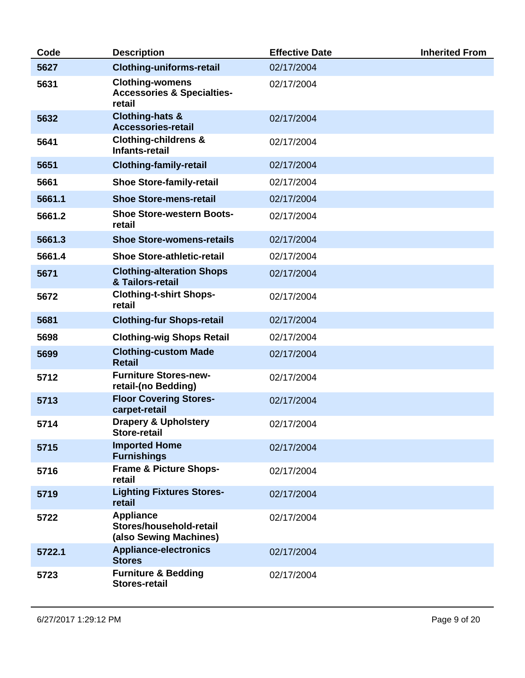| Code   | <b>Description</b>                                                        | <b>Effective Date</b> | <b>Inherited From</b> |
|--------|---------------------------------------------------------------------------|-----------------------|-----------------------|
| 5627   | <b>Clothing-uniforms-retail</b>                                           | 02/17/2004            |                       |
| 5631   | <b>Clothing-womens</b><br><b>Accessories &amp; Specialties-</b><br>retail | 02/17/2004            |                       |
| 5632   | <b>Clothing-hats &amp;</b><br><b>Accessories-retail</b>                   | 02/17/2004            |                       |
| 5641   | <b>Clothing-childrens &amp;</b><br>Infants-retail                         | 02/17/2004            |                       |
| 5651   | <b>Clothing-family-retail</b>                                             | 02/17/2004            |                       |
| 5661   | <b>Shoe Store-family-retail</b>                                           | 02/17/2004            |                       |
| 5661.1 | <b>Shoe Store-mens-retail</b>                                             | 02/17/2004            |                       |
| 5661.2 | <b>Shoe Store-western Boots-</b><br>retail                                | 02/17/2004            |                       |
| 5661.3 | <b>Shoe Store-womens-retails</b>                                          | 02/17/2004            |                       |
| 5661.4 | <b>Shoe Store-athletic-retail</b>                                         | 02/17/2004            |                       |
| 5671   | <b>Clothing-alteration Shops</b><br>& Tailors-retail                      | 02/17/2004            |                       |
| 5672   | <b>Clothing-t-shirt Shops-</b><br>retail                                  | 02/17/2004            |                       |
| 5681   | <b>Clothing-fur Shops-retail</b>                                          | 02/17/2004            |                       |
| 5698   | <b>Clothing-wig Shops Retail</b>                                          | 02/17/2004            |                       |
| 5699   | <b>Clothing-custom Made</b><br><b>Retail</b>                              | 02/17/2004            |                       |
| 5712   | <b>Furniture Stores-new-</b><br>retail-(no Bedding)                       | 02/17/2004            |                       |
| 5713   | <b>Floor Covering Stores-</b><br>carpet-retail                            | 02/17/2004            |                       |
| 5714   | <b>Drapery &amp; Upholstery</b><br><b>Store-retail</b>                    | 02/17/2004            |                       |
| 5715   | <b>Imported Home</b><br><b>Furnishings</b>                                | 02/17/2004            |                       |
| 5716   | <b>Frame &amp; Picture Shops-</b><br>retail                               | 02/17/2004            |                       |
| 5719   | <b>Lighting Fixtures Stores-</b><br>retail                                | 02/17/2004            |                       |
| 5722   | <b>Appliance</b><br>Stores/household-retail<br>(also Sewing Machines)     | 02/17/2004            |                       |
| 5722.1 | <b>Appliance-electronics</b><br><b>Stores</b>                             | 02/17/2004            |                       |
| 5723   | <b>Furniture &amp; Bedding</b><br><b>Stores-retail</b>                    | 02/17/2004            |                       |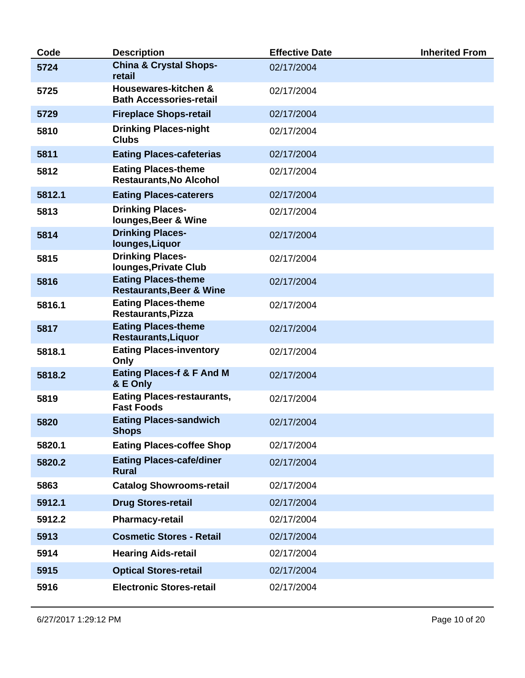| Code   | <b>Description</b>                                                | <b>Effective Date</b> | <b>Inherited From</b> |
|--------|-------------------------------------------------------------------|-----------------------|-----------------------|
| 5724   | <b>China &amp; Crystal Shops-</b><br>retail                       | 02/17/2004            |                       |
| 5725   | Housewares-kitchen &<br><b>Bath Accessories-retail</b>            | 02/17/2004            |                       |
| 5729   | <b>Fireplace Shops-retail</b>                                     | 02/17/2004            |                       |
| 5810   | <b>Drinking Places-night</b><br><b>Clubs</b>                      | 02/17/2004            |                       |
| 5811   | <b>Eating Places-cafeterias</b>                                   | 02/17/2004            |                       |
| 5812   | <b>Eating Places-theme</b><br><b>Restaurants, No Alcohol</b>      | 02/17/2004            |                       |
| 5812.1 | <b>Eating Places-caterers</b>                                     | 02/17/2004            |                       |
| 5813   | <b>Drinking Places-</b><br>lounges, Beer & Wine                   | 02/17/2004            |                       |
| 5814   | <b>Drinking Places-</b><br>lounges, Liquor                        | 02/17/2004            |                       |
| 5815   | <b>Drinking Places-</b><br><b>lounges, Private Club</b>           | 02/17/2004            |                       |
| 5816   | <b>Eating Places-theme</b><br><b>Restaurants, Beer &amp; Wine</b> | 02/17/2004            |                       |
| 5816.1 | <b>Eating Places-theme</b><br><b>Restaurants, Pizza</b>           | 02/17/2004            |                       |
| 5817   | <b>Eating Places-theme</b><br><b>Restaurants, Liquor</b>          | 02/17/2004            |                       |
| 5818.1 | <b>Eating Places-inventory</b><br>Only                            | 02/17/2004            |                       |
| 5818.2 | <b>Eating Places-f &amp; F And M</b><br>& E Only                  | 02/17/2004            |                       |
| 5819   | <b>Eating Places-restaurants,</b><br><b>Fast Foods</b>            | 02/17/2004            |                       |
| 5820   | <b>Eating Places-sandwich</b><br><b>Shops</b>                     | 02/17/2004            |                       |
| 5820.1 | <b>Eating Places-coffee Shop</b>                                  | 02/17/2004            |                       |
| 5820.2 | <b>Eating Places-cafe/diner</b><br><b>Rural</b>                   | 02/17/2004            |                       |
| 5863   | <b>Catalog Showrooms-retail</b>                                   | 02/17/2004            |                       |
| 5912.1 | <b>Drug Stores-retail</b>                                         | 02/17/2004            |                       |
| 5912.2 | <b>Pharmacy-retail</b>                                            | 02/17/2004            |                       |
| 5913   | <b>Cosmetic Stores - Retail</b>                                   | 02/17/2004            |                       |
| 5914   | <b>Hearing Aids-retail</b>                                        | 02/17/2004            |                       |
| 5915   | <b>Optical Stores-retail</b>                                      | 02/17/2004            |                       |
| 5916   | <b>Electronic Stores-retail</b>                                   | 02/17/2004            |                       |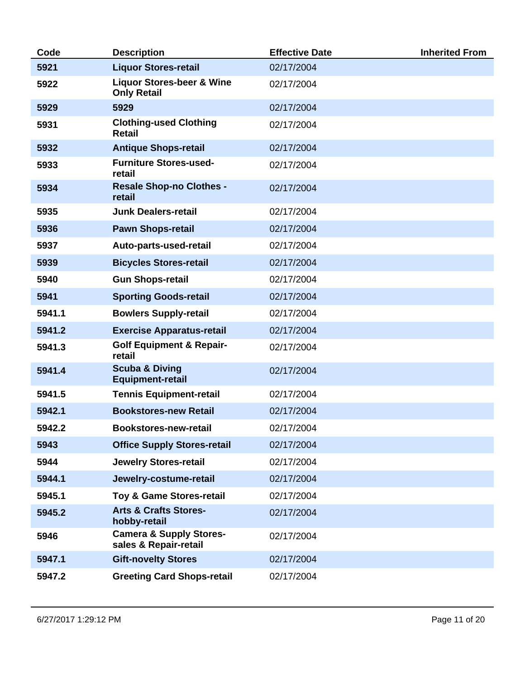| Code   | <b>Description</b>                                          | <b>Effective Date</b> | <b>Inherited From</b> |
|--------|-------------------------------------------------------------|-----------------------|-----------------------|
| 5921   | <b>Liquor Stores-retail</b>                                 | 02/17/2004            |                       |
| 5922   | <b>Liquor Stores-beer &amp; Wine</b><br><b>Only Retail</b>  | 02/17/2004            |                       |
| 5929   | 5929                                                        | 02/17/2004            |                       |
| 5931   | <b>Clothing-used Clothing</b><br><b>Retail</b>              | 02/17/2004            |                       |
| 5932   | <b>Antique Shops-retail</b>                                 | 02/17/2004            |                       |
| 5933   | <b>Furniture Stores-used-</b><br>retail                     | 02/17/2004            |                       |
| 5934   | <b>Resale Shop-no Clothes -</b><br>retail                   | 02/17/2004            |                       |
| 5935   | <b>Junk Dealers-retail</b>                                  | 02/17/2004            |                       |
| 5936   | <b>Pawn Shops-retail</b>                                    | 02/17/2004            |                       |
| 5937   | Auto-parts-used-retail                                      | 02/17/2004            |                       |
| 5939   | <b>Bicycles Stores-retail</b>                               | 02/17/2004            |                       |
| 5940   | <b>Gun Shops-retail</b>                                     | 02/17/2004            |                       |
| 5941   | <b>Sporting Goods-retail</b>                                | 02/17/2004            |                       |
| 5941.1 | <b>Bowlers Supply-retail</b>                                | 02/17/2004            |                       |
| 5941.2 | <b>Exercise Apparatus-retail</b>                            | 02/17/2004            |                       |
| 5941.3 | <b>Golf Equipment &amp; Repair-</b><br>retail               | 02/17/2004            |                       |
| 5941.4 | <b>Scuba &amp; Diving</b><br><b>Equipment-retail</b>        | 02/17/2004            |                       |
| 5941.5 | <b>Tennis Equipment-retail</b>                              | 02/17/2004            |                       |
| 5942.1 | <b>Bookstores-new Retail</b>                                | 02/17/2004            |                       |
| 5942.2 | <b>Bookstores-new-retail</b>                                | 02/17/2004            |                       |
| 5943   | <b>Office Supply Stores-retail</b>                          | 02/17/2004            |                       |
| 5944   | <b>Jewelry Stores-retail</b>                                | 02/17/2004            |                       |
| 5944.1 | Jewelry-costume-retail                                      | 02/17/2004            |                       |
| 5945.1 | Toy & Game Stores-retail                                    | 02/17/2004            |                       |
| 5945.2 | <b>Arts &amp; Crafts Stores-</b><br>hobby-retail            | 02/17/2004            |                       |
| 5946   | <b>Camera &amp; Supply Stores-</b><br>sales & Repair-retail | 02/17/2004            |                       |
| 5947.1 | <b>Gift-novelty Stores</b>                                  | 02/17/2004            |                       |
| 5947.2 | <b>Greeting Card Shops-retail</b>                           | 02/17/2004            |                       |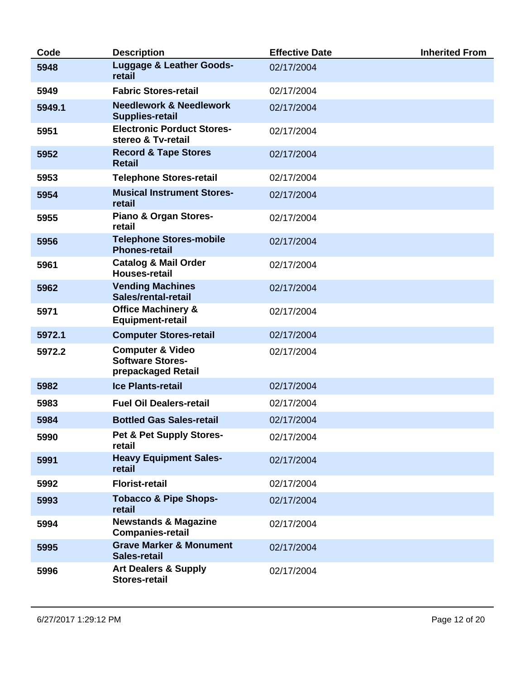| Code   | <b>Description</b>                                                           | <b>Effective Date</b> | <b>Inherited From</b> |
|--------|------------------------------------------------------------------------------|-----------------------|-----------------------|
| 5948   | <b>Luggage &amp; Leather Goods-</b><br>retail                                | 02/17/2004            |                       |
| 5949   | <b>Fabric Stores-retail</b>                                                  | 02/17/2004            |                       |
| 5949.1 | <b>Needlework &amp; Needlework</b><br><b>Supplies-retail</b>                 | 02/17/2004            |                       |
| 5951   | <b>Electronic Porduct Stores-</b><br>stereo & Tv-retail                      | 02/17/2004            |                       |
| 5952   | <b>Record &amp; Tape Stores</b><br><b>Retail</b>                             | 02/17/2004            |                       |
| 5953   | <b>Telephone Stores-retail</b>                                               | 02/17/2004            |                       |
| 5954   | <b>Musical Instrument Stores-</b><br>retail                                  | 02/17/2004            |                       |
| 5955   | <b>Piano &amp; Organ Stores-</b><br>retail                                   | 02/17/2004            |                       |
| 5956   | <b>Telephone Stores-mobile</b><br><b>Phones-retail</b>                       | 02/17/2004            |                       |
| 5961   | <b>Catalog &amp; Mail Order</b><br><b>Houses-retail</b>                      | 02/17/2004            |                       |
| 5962   | <b>Vending Machines</b><br>Sales/rental-retail                               | 02/17/2004            |                       |
| 5971   | <b>Office Machinery &amp;</b><br><b>Equipment-retail</b>                     | 02/17/2004            |                       |
| 5972.1 | <b>Computer Stores-retail</b>                                                | 02/17/2004            |                       |
| 5972.2 | <b>Computer &amp; Video</b><br><b>Software Stores-</b><br>prepackaged Retail | 02/17/2004            |                       |
| 5982   | <b>Ice Plants-retail</b>                                                     | 02/17/2004            |                       |
| 5983   | <b>Fuel Oil Dealers-retail</b>                                               | 02/17/2004            |                       |
| 5984   | <b>Bottled Gas Sales-retail</b>                                              | 02/17/2004            |                       |
| 5990   | Pet & Pet Supply Stores-<br>retail                                           | 02/17/2004            |                       |
| 5991   | <b>Heavy Equipment Sales-</b><br>retail                                      | 02/17/2004            |                       |
| 5992   | <b>Florist-retail</b>                                                        | 02/17/2004            |                       |
| 5993   | <b>Tobacco &amp; Pipe Shops-</b><br>retail                                   | 02/17/2004            |                       |
| 5994   | <b>Newstands &amp; Magazine</b><br><b>Companies-retail</b>                   | 02/17/2004            |                       |
| 5995   | <b>Grave Marker &amp; Monument</b><br><b>Sales-retail</b>                    | 02/17/2004            |                       |
| 5996   | <b>Art Dealers &amp; Supply</b><br><b>Stores-retail</b>                      | 02/17/2004            |                       |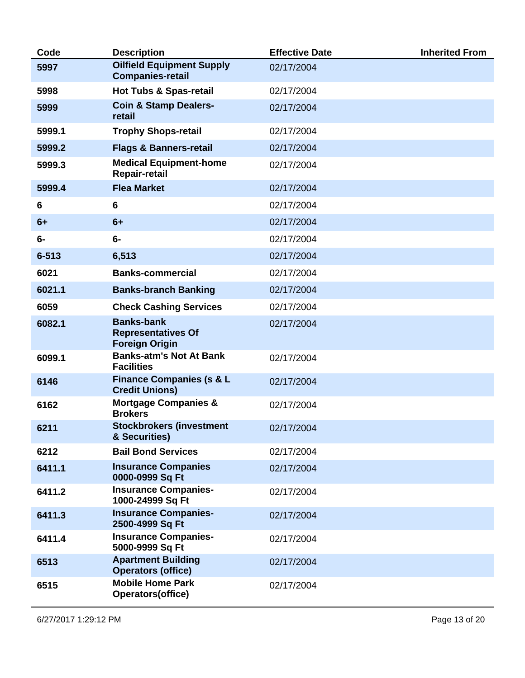| Code      | <b>Description</b>                                                      | <b>Effective Date</b> | <b>Inherited From</b> |
|-----------|-------------------------------------------------------------------------|-----------------------|-----------------------|
| 5997      | <b>Oilfield Equipment Supply</b><br><b>Companies-retail</b>             | 02/17/2004            |                       |
| 5998      | <b>Hot Tubs &amp; Spas-retail</b>                                       | 02/17/2004            |                       |
| 5999      | <b>Coin &amp; Stamp Dealers-</b><br>retail                              | 02/17/2004            |                       |
| 5999.1    | <b>Trophy Shops-retail</b>                                              | 02/17/2004            |                       |
| 5999.2    | <b>Flags &amp; Banners-retail</b>                                       | 02/17/2004            |                       |
| 5999.3    | <b>Medical Equipment-home</b><br>Repair-retail                          | 02/17/2004            |                       |
| 5999.4    | <b>Flea Market</b>                                                      | 02/17/2004            |                       |
| 6         | 6                                                                       | 02/17/2004            |                       |
| $6+$      | $6+$                                                                    | 02/17/2004            |                       |
| $6-$      | $6-$                                                                    | 02/17/2004            |                       |
| $6 - 513$ | 6,513                                                                   | 02/17/2004            |                       |
| 6021      | <b>Banks-commercial</b>                                                 | 02/17/2004            |                       |
| 6021.1    | <b>Banks-branch Banking</b>                                             | 02/17/2004            |                       |
| 6059      | <b>Check Cashing Services</b>                                           | 02/17/2004            |                       |
| 6082.1    | <b>Banks-bank</b><br><b>Representatives Of</b><br><b>Foreign Origin</b> | 02/17/2004            |                       |
| 6099.1    | <b>Banks-atm's Not At Bank</b><br><b>Facilities</b>                     | 02/17/2004            |                       |
| 6146      | <b>Finance Companies (s &amp; L</b><br><b>Credit Unions)</b>            | 02/17/2004            |                       |
| 6162      | <b>Mortgage Companies &amp;</b><br><b>Brokers</b>                       | 02/17/2004            |                       |
| 6211      | <b>Stockbrokers (investment</b><br>& Securities)                        | 02/17/2004            |                       |
| 6212      | <b>Bail Bond Services</b>                                               | 02/17/2004            |                       |
| 6411.1    | <b>Insurance Companies</b><br>0000-0999 Sq Ft                           | 02/17/2004            |                       |
| 6411.2    | <b>Insurance Companies-</b><br>1000-24999 Sq Ft                         | 02/17/2004            |                       |
| 6411.3    | <b>Insurance Companies-</b><br>2500-4999 Sq Ft                          | 02/17/2004            |                       |
| 6411.4    | <b>Insurance Companies-</b><br>5000-9999 Sq Ft                          | 02/17/2004            |                       |
| 6513      | <b>Apartment Building</b><br><b>Operators (office)</b>                  | 02/17/2004            |                       |
| 6515      | <b>Mobile Home Park</b><br>Operators(office)                            | 02/17/2004            |                       |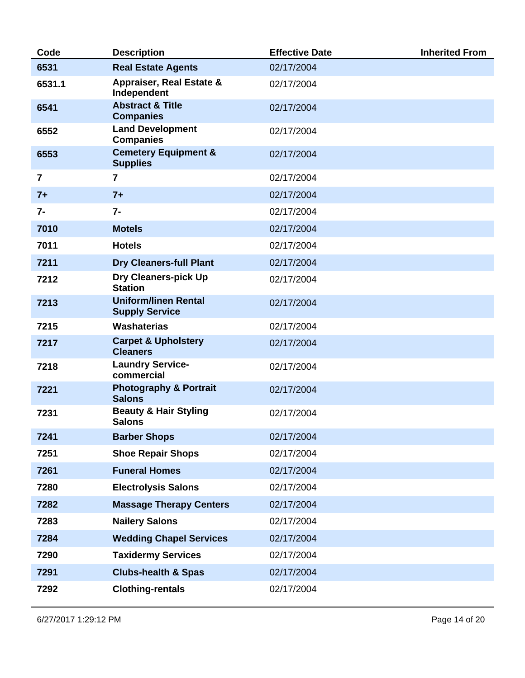| Code           | <b>Description</b>                                   | <b>Effective Date</b> | <b>Inherited From</b> |
|----------------|------------------------------------------------------|-----------------------|-----------------------|
| 6531           | <b>Real Estate Agents</b>                            | 02/17/2004            |                       |
| 6531.1         | <b>Appraiser, Real Estate &amp;</b><br>Independent   | 02/17/2004            |                       |
| 6541           | <b>Abstract &amp; Title</b><br><b>Companies</b>      | 02/17/2004            |                       |
| 6552           | <b>Land Development</b><br><b>Companies</b>          | 02/17/2004            |                       |
| 6553           | <b>Cemetery Equipment &amp;</b><br><b>Supplies</b>   | 02/17/2004            |                       |
| $\overline{7}$ | $\overline{7}$                                       | 02/17/2004            |                       |
| $7+$           | $7+$                                                 | 02/17/2004            |                       |
| $7-$           | $7 -$                                                | 02/17/2004            |                       |
| 7010           | <b>Motels</b>                                        | 02/17/2004            |                       |
| 7011           | <b>Hotels</b>                                        | 02/17/2004            |                       |
| 7211           | <b>Dry Cleaners-full Plant</b>                       | 02/17/2004            |                       |
| 7212           | Dry Cleaners-pick Up<br><b>Station</b>               | 02/17/2004            |                       |
| 7213           | <b>Uniform/linen Rental</b><br><b>Supply Service</b> | 02/17/2004            |                       |
| 7215           | <b>Washaterias</b>                                   | 02/17/2004            |                       |
| 7217           | <b>Carpet &amp; Upholstery</b><br><b>Cleaners</b>    | 02/17/2004            |                       |
| 7218           | <b>Laundry Service-</b><br>commercial                | 02/17/2004            |                       |
| 7221           | <b>Photography &amp; Portrait</b><br><b>Salons</b>   | 02/17/2004            |                       |
| 7231           | <b>Beauty &amp; Hair Styling</b><br><b>Salons</b>    | 02/17/2004            |                       |
| 7241           | <b>Barber Shops</b>                                  | 02/17/2004            |                       |
| 7251           | <b>Shoe Repair Shops</b>                             | 02/17/2004            |                       |
| 7261           | <b>Funeral Homes</b>                                 | 02/17/2004            |                       |
| 7280           | <b>Electrolysis Salons</b>                           | 02/17/2004            |                       |
| 7282           | <b>Massage Therapy Centers</b>                       | 02/17/2004            |                       |
| 7283           | <b>Nailery Salons</b>                                | 02/17/2004            |                       |
| 7284           | <b>Wedding Chapel Services</b>                       | 02/17/2004            |                       |
| 7290           | <b>Taxidermy Services</b>                            | 02/17/2004            |                       |
| 7291           | <b>Clubs-health &amp; Spas</b>                       | 02/17/2004            |                       |
| 7292           | <b>Clothing-rentals</b>                              | 02/17/2004            |                       |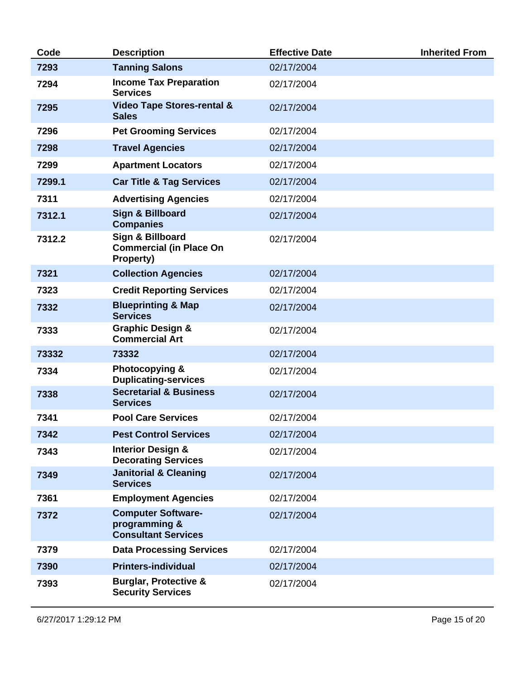| Code   | <b>Description</b>                                                       | <b>Effective Date</b> | <b>Inherited From</b> |
|--------|--------------------------------------------------------------------------|-----------------------|-----------------------|
| 7293   | <b>Tanning Salons</b>                                                    | 02/17/2004            |                       |
| 7294   | <b>Income Tax Preparation</b><br><b>Services</b>                         | 02/17/2004            |                       |
| 7295   | <b>Video Tape Stores-rental &amp;</b><br><b>Sales</b>                    | 02/17/2004            |                       |
| 7296   | <b>Pet Grooming Services</b>                                             | 02/17/2004            |                       |
| 7298   | <b>Travel Agencies</b>                                                   | 02/17/2004            |                       |
| 7299   | <b>Apartment Locators</b>                                                | 02/17/2004            |                       |
| 7299.1 | <b>Car Title &amp; Tag Services</b>                                      | 02/17/2004            |                       |
| 7311   | <b>Advertising Agencies</b>                                              | 02/17/2004            |                       |
| 7312.1 | Sign & Billboard<br><b>Companies</b>                                     | 02/17/2004            |                       |
| 7312.2 | Sign & Billboard<br><b>Commercial (in Place On</b><br>Property)          | 02/17/2004            |                       |
| 7321   | <b>Collection Agencies</b>                                               | 02/17/2004            |                       |
| 7323   | <b>Credit Reporting Services</b>                                         | 02/17/2004            |                       |
| 7332   | <b>Blueprinting &amp; Map</b><br><b>Services</b>                         | 02/17/2004            |                       |
| 7333   | <b>Graphic Design &amp;</b><br><b>Commercial Art</b>                     | 02/17/2004            |                       |
| 73332  | 73332                                                                    | 02/17/2004            |                       |
| 7334   | Photocopying &<br><b>Duplicating-services</b>                            | 02/17/2004            |                       |
| 7338   | <b>Secretarial &amp; Business</b><br><b>Services</b>                     | 02/17/2004            |                       |
| 7341   | <b>Pool Care Services</b>                                                | 02/17/2004            |                       |
| 7342   | <b>Pest Control Services</b>                                             | 02/17/2004            |                       |
| 7343   | <b>Interior Design &amp;</b><br><b>Decorating Services</b>               | 02/17/2004            |                       |
| 7349   | <b>Janitorial &amp; Cleaning</b><br><b>Services</b>                      | 02/17/2004            |                       |
| 7361   | <b>Employment Agencies</b>                                               | 02/17/2004            |                       |
| 7372   | <b>Computer Software-</b><br>programming &<br><b>Consultant Services</b> | 02/17/2004            |                       |
| 7379   | <b>Data Processing Services</b>                                          | 02/17/2004            |                       |
| 7390   | <b>Printers-individual</b>                                               | 02/17/2004            |                       |
| 7393   | <b>Burglar, Protective &amp;</b><br><b>Security Services</b>             | 02/17/2004            |                       |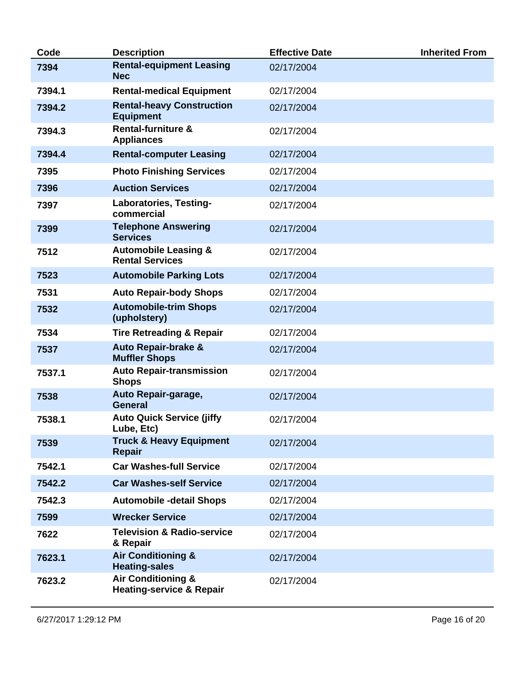| Code   | <b>Description</b>                                                   | <b>Effective Date</b> | <b>Inherited From</b> |
|--------|----------------------------------------------------------------------|-----------------------|-----------------------|
| 7394   | <b>Rental-equipment Leasing</b><br><b>Nec</b>                        | 02/17/2004            |                       |
| 7394.1 | <b>Rental-medical Equipment</b>                                      | 02/17/2004            |                       |
| 7394.2 | <b>Rental-heavy Construction</b><br><b>Equipment</b>                 | 02/17/2004            |                       |
| 7394.3 | <b>Rental-furniture &amp;</b><br><b>Appliances</b>                   | 02/17/2004            |                       |
| 7394.4 | <b>Rental-computer Leasing</b>                                       | 02/17/2004            |                       |
| 7395   | <b>Photo Finishing Services</b>                                      | 02/17/2004            |                       |
| 7396   | <b>Auction Services</b>                                              | 02/17/2004            |                       |
| 7397   | Laboratories, Testing-<br>commercial                                 | 02/17/2004            |                       |
| 7399   | <b>Telephone Answering</b><br><b>Services</b>                        | 02/17/2004            |                       |
| 7512   | <b>Automobile Leasing &amp;</b><br><b>Rental Services</b>            | 02/17/2004            |                       |
| 7523   | <b>Automobile Parking Lots</b>                                       | 02/17/2004            |                       |
| 7531   | <b>Auto Repair-body Shops</b>                                        | 02/17/2004            |                       |
| 7532   | <b>Automobile-trim Shops</b><br>(upholstery)                         | 02/17/2004            |                       |
| 7534   | <b>Tire Retreading &amp; Repair</b>                                  | 02/17/2004            |                       |
| 7537   | Auto Repair-brake &<br><b>Muffler Shops</b>                          | 02/17/2004            |                       |
| 7537.1 | <b>Auto Repair-transmission</b><br><b>Shops</b>                      | 02/17/2004            |                       |
| 7538   | Auto Repair-garage,<br><b>General</b>                                | 02/17/2004            |                       |
| 7538.1 | <b>Auto Quick Service (jiffy</b><br>Lube, Etc)                       | 02/17/2004            |                       |
| 7539   | <b>Truck &amp; Heavy Equipment</b><br><b>Repair</b>                  | 02/17/2004            |                       |
| 7542.1 | <b>Car Washes-full Service</b>                                       | 02/17/2004            |                       |
| 7542.2 | <b>Car Washes-self Service</b>                                       | 02/17/2004            |                       |
| 7542.3 | <b>Automobile -detail Shops</b>                                      | 02/17/2004            |                       |
| 7599   | <b>Wrecker Service</b>                                               | 02/17/2004            |                       |
| 7622   | <b>Television &amp; Radio-service</b><br>& Repair                    | 02/17/2004            |                       |
| 7623.1 | <b>Air Conditioning &amp;</b><br><b>Heating-sales</b>                | 02/17/2004            |                       |
| 7623.2 | <b>Air Conditioning &amp;</b><br><b>Heating-service &amp; Repair</b> | 02/17/2004            |                       |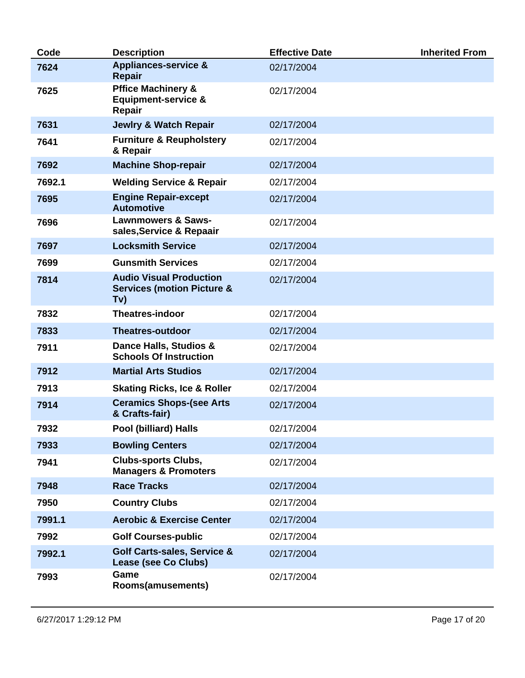| Code   | <b>Description</b>                                                             | <b>Effective Date</b> | <b>Inherited From</b> |
|--------|--------------------------------------------------------------------------------|-----------------------|-----------------------|
| 7624   | <b>Appliances-service &amp;</b><br>Repair                                      | 02/17/2004            |                       |
| 7625   | <b>Pffice Machinery &amp;</b><br><b>Equipment-service &amp;</b><br>Repair      | 02/17/2004            |                       |
| 7631   | <b>Jewlry &amp; Watch Repair</b>                                               | 02/17/2004            |                       |
| 7641   | <b>Furniture &amp; Reupholstery</b><br>& Repair                                | 02/17/2004            |                       |
| 7692   | <b>Machine Shop-repair</b>                                                     | 02/17/2004            |                       |
| 7692.1 | <b>Welding Service &amp; Repair</b>                                            | 02/17/2004            |                       |
| 7695   | <b>Engine Repair-except</b><br><b>Automotive</b>                               | 02/17/2004            |                       |
| 7696   | <b>Lawnmowers &amp; Saws-</b><br>sales, Service & Repaair                      | 02/17/2004            |                       |
| 7697   | <b>Locksmith Service</b>                                                       | 02/17/2004            |                       |
| 7699   | <b>Gunsmith Services</b>                                                       | 02/17/2004            |                       |
| 7814   | <b>Audio Visual Production</b><br><b>Services (motion Picture &amp;</b><br>Tv) | 02/17/2004            |                       |
| 7832   | <b>Theatres-indoor</b>                                                         | 02/17/2004            |                       |
| 7833   | <b>Theatres-outdoor</b>                                                        | 02/17/2004            |                       |
| 7911   | Dance Halls, Studios &<br><b>Schools Of Instruction</b>                        | 02/17/2004            |                       |
| 7912   | <b>Martial Arts Studios</b>                                                    | 02/17/2004            |                       |
| 7913   | <b>Skating Ricks, Ice &amp; Roller</b>                                         | 02/17/2004            |                       |
| 7914   | <b>Ceramics Shops-(see Arts</b><br>& Crafts-fair)                              | 02/17/2004            |                       |
| 7932   | Pool (billiard) Halls                                                          | 02/17/2004            |                       |
| 7933   | <b>Bowling Centers</b>                                                         | 02/17/2004            |                       |
| 7941   | <b>Clubs-sports Clubs,</b><br><b>Managers &amp; Promoters</b>                  | 02/17/2004            |                       |
| 7948   | <b>Race Tracks</b>                                                             | 02/17/2004            |                       |
| 7950   | <b>Country Clubs</b>                                                           | 02/17/2004            |                       |
| 7991.1 | <b>Aerobic &amp; Exercise Center</b>                                           | 02/17/2004            |                       |
| 7992   | <b>Golf Courses-public</b>                                                     | 02/17/2004            |                       |
| 7992.1 | <b>Golf Carts-sales, Service &amp;</b><br>Lease (see Co Clubs)                 | 02/17/2004            |                       |
| 7993   | Game<br><b>Rooms(amusements)</b>                                               | 02/17/2004            |                       |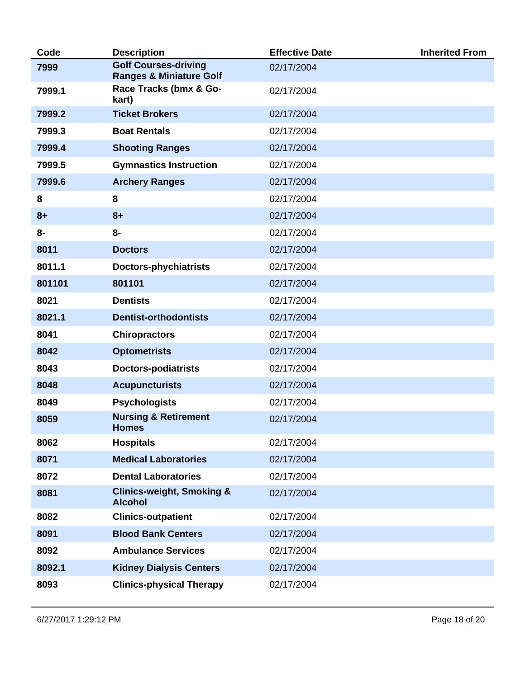| Code   | <b>Description</b>                                                | <b>Effective Date</b> | <b>Inherited From</b> |
|--------|-------------------------------------------------------------------|-----------------------|-----------------------|
| 7999   | <b>Golf Courses-driving</b><br><b>Ranges &amp; Miniature Golf</b> | 02/17/2004            |                       |
| 7999.1 | Race Tracks (bmx & Go-<br>kart)                                   | 02/17/2004            |                       |
| 7999.2 | <b>Ticket Brokers</b>                                             | 02/17/2004            |                       |
| 7999.3 | <b>Boat Rentals</b>                                               | 02/17/2004            |                       |
| 7999.4 | <b>Shooting Ranges</b>                                            | 02/17/2004            |                       |
| 7999.5 | <b>Gymnastics Instruction</b>                                     | 02/17/2004            |                       |
| 7999.6 | <b>Archery Ranges</b>                                             | 02/17/2004            |                       |
| 8      | 8                                                                 | 02/17/2004            |                       |
| $8+$   | $8+$                                                              | 02/17/2004            |                       |
| 8-     | $8-$                                                              | 02/17/2004            |                       |
| 8011   | <b>Doctors</b>                                                    | 02/17/2004            |                       |
| 8011.1 | <b>Doctors-phychiatrists</b>                                      | 02/17/2004            |                       |
| 801101 | 801101                                                            | 02/17/2004            |                       |
| 8021   | <b>Dentists</b>                                                   | 02/17/2004            |                       |
| 8021.1 | <b>Dentist-orthodontists</b>                                      | 02/17/2004            |                       |
| 8041   | <b>Chiropractors</b>                                              | 02/17/2004            |                       |
| 8042   | <b>Optometrists</b>                                               | 02/17/2004            |                       |
| 8043   | <b>Doctors-podiatrists</b>                                        | 02/17/2004            |                       |
| 8048   | <b>Acupuncturists</b>                                             | 02/17/2004            |                       |
| 8049   | <b>Psychologists</b>                                              | 02/17/2004            |                       |
| 8059   | <b>Nursing &amp; Retirement</b><br><b>Homes</b>                   | 02/17/2004            |                       |
| 8062   | <b>Hospitals</b>                                                  | 02/17/2004            |                       |
| 8071   | <b>Medical Laboratories</b>                                       | 02/17/2004            |                       |
| 8072   | <b>Dental Laboratories</b>                                        | 02/17/2004            |                       |
| 8081   | <b>Clinics-weight, Smoking &amp;</b><br><b>Alcohol</b>            | 02/17/2004            |                       |
| 8082   | <b>Clinics-outpatient</b>                                         | 02/17/2004            |                       |
| 8091   | <b>Blood Bank Centers</b>                                         | 02/17/2004            |                       |
| 8092   | <b>Ambulance Services</b>                                         | 02/17/2004            |                       |
| 8092.1 | <b>Kidney Dialysis Centers</b>                                    | 02/17/2004            |                       |
| 8093   | <b>Clinics-physical Therapy</b>                                   | 02/17/2004            |                       |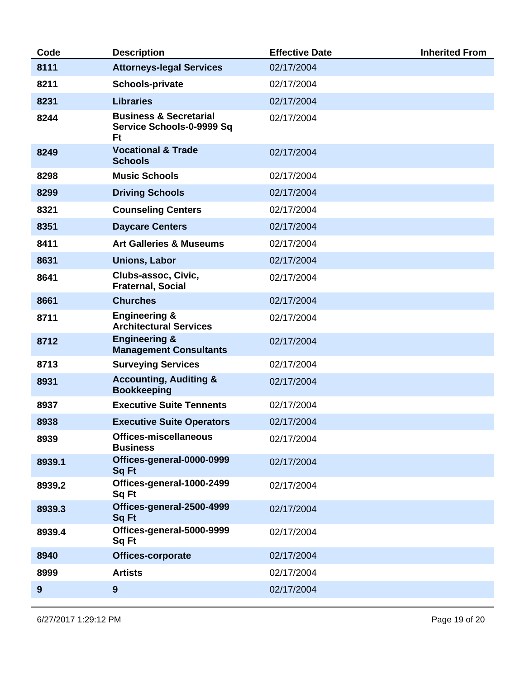| Code   | <b>Description</b>                                                   | <b>Effective Date</b> | <b>Inherited From</b> |
|--------|----------------------------------------------------------------------|-----------------------|-----------------------|
| 8111   | <b>Attorneys-legal Services</b>                                      | 02/17/2004            |                       |
| 8211   | <b>Schools-private</b>                                               | 02/17/2004            |                       |
| 8231   | <b>Libraries</b>                                                     | 02/17/2004            |                       |
| 8244   | <b>Business &amp; Secretarial</b><br>Service Schools-0-9999 Sq<br>Ft | 02/17/2004            |                       |
| 8249   | <b>Vocational &amp; Trade</b><br><b>Schools</b>                      | 02/17/2004            |                       |
| 8298   | <b>Music Schools</b>                                                 | 02/17/2004            |                       |
| 8299   | <b>Driving Schools</b>                                               | 02/17/2004            |                       |
| 8321   | <b>Counseling Centers</b>                                            | 02/17/2004            |                       |
| 8351   | <b>Daycare Centers</b>                                               | 02/17/2004            |                       |
| 8411   | <b>Art Galleries &amp; Museums</b>                                   | 02/17/2004            |                       |
| 8631   | <b>Unions, Labor</b>                                                 | 02/17/2004            |                       |
| 8641   | Clubs-assoc, Civic,<br><b>Fraternal, Social</b>                      | 02/17/2004            |                       |
| 8661   | <b>Churches</b>                                                      | 02/17/2004            |                       |
| 8711   | <b>Engineering &amp;</b><br><b>Architectural Services</b>            | 02/17/2004            |                       |
| 8712   | <b>Engineering &amp;</b><br><b>Management Consultants</b>            | 02/17/2004            |                       |
| 8713   | <b>Surveying Services</b>                                            | 02/17/2004            |                       |
| 8931   | <b>Accounting, Auditing &amp;</b><br><b>Bookkeeping</b>              | 02/17/2004            |                       |
| 8937   | <b>Executive Suite Tennents</b>                                      | 02/17/2004            |                       |
| 8938   | <b>Executive Suite Operators</b>                                     | 02/17/2004            |                       |
| 8939   | <b>Offices-miscellaneous</b><br><b>Business</b>                      | 02/17/2004            |                       |
| 8939.1 | Offices-general-0000-0999<br><b>Sq Ft</b>                            | 02/17/2004            |                       |
| 8939.2 | Offices-general-1000-2499<br>Sq Ft                                   | 02/17/2004            |                       |
| 8939.3 | Offices-general-2500-4999<br><b>Sq Ft</b>                            | 02/17/2004            |                       |
| 8939.4 | Offices-general-5000-9999<br>Sq Ft                                   | 02/17/2004            |                       |
| 8940   | Offices-corporate                                                    | 02/17/2004            |                       |
| 8999   | <b>Artists</b>                                                       | 02/17/2004            |                       |
| 9      | 9                                                                    | 02/17/2004            |                       |
|        |                                                                      |                       |                       |